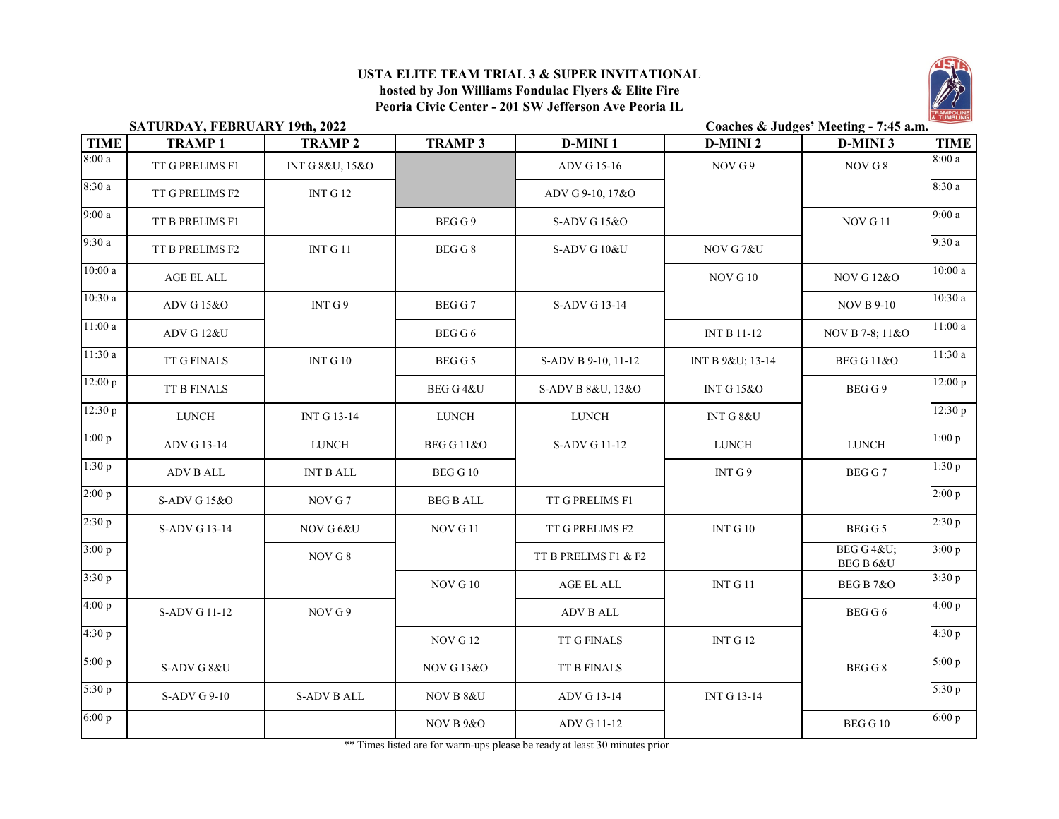## **USTA ELITE TEAM TRIAL 3 & SUPER INVITATIONAL**

**hosted by Jon Williams Fondulac Flyers & Elite Fire Peoria Civic Center - 201 SW Jefferson Ave Peoria IL**



|                      | SATURDAY, FEBRUARY 19th, 2022 |                    |                       | Coaches & Judges' Meeting - 7:45 a.m. |                      |                        |             |  |  |
|----------------------|-------------------------------|--------------------|-----------------------|---------------------------------------|----------------------|------------------------|-------------|--|--|
| <b>TIME</b>          | <b>TRAMP1</b>                 | <b>TRAMP2</b>      | <b>TRAMP 3</b>        | <b>D-MINI1</b>                        | <b>D-MINI2</b>       | <b>D-MINI3</b>         | <b>TIME</b> |  |  |
| 8:00a                | TT G PRELIMS F1               | INT G 8&U, 15&O    |                       | ADV G 15-16                           | NOV G 9              | NOV G 8                | 8:00a       |  |  |
| 8:30a                | TT G PRELIMS F2               | INT G12            |                       | ADV G 9-10, 17&O                      |                      |                        | 8:30a       |  |  |
| 9:00a                | TT B PRELIMS F1               |                    | BEGG9                 | S-ADV G 15&O                          |                      | NOV G11                | 9:00a       |  |  |
| 9:30a                | TT B PRELIMS F2               | INT G 11           | BEG G 8               | S-ADV G 10&U                          | NOV G7&U             |                        | 9:30a       |  |  |
| $\overline{10:}00a$  | AGE EL ALL                    |                    |                       |                                       | NOV G10              | <b>NOV G 12&amp;O</b>  | 10:00a      |  |  |
| 10:30a               | ADV G 15&O                    | INT G 9            | BEG G 7               | S-ADV G 13-14                         |                      | <b>NOV B 9-10</b>      | 10:30a      |  |  |
| 11:00a               | ADV G 12&U                    |                    | BEG G 6               |                                       | INT B 11-12          | NOV B 7-8; 11&O        | 11:00a      |  |  |
| $\overline{11:}30a$  | TT G FINALS                   | INT G $10$         | BEG G 5               | S-ADV B 9-10, 11-12                   | INT B 9&U 13-14      | <b>BEG G 11&amp;O</b>  | 11:30a      |  |  |
| $\overline{12:}00 p$ | <b>TT B FINALS</b>            |                    | BEG G 4&U             | S-ADV B 8&U, 13&O                     | <b>INT G15&amp;O</b> | BEG G 9                | 12:00 p     |  |  |
| 12:30 p              | <b>LUNCH</b>                  | INT G 13-14        | <b>LUNCH</b>          | <b>LUNCH</b>                          | INT G 8&U            |                        | 12:30 p     |  |  |
| 1:00 p               | ADV G 13-14                   | ${\rm LUNCH}$      | <b>BEG G 11&amp;O</b> | S-ADV G 11-12                         | <b>LUNCH</b>         | <b>LUNCH</b>           | 1:00 p      |  |  |
| 1:30 p               | ADV B ALL                     | <b>INT B ALL</b>   | BEG G 10              |                                       | INT $G$ 9            | BEG G 7                | 1:30 p      |  |  |
| 2:00 p               | S-ADV G 15&O                  | NOV G 7            | <b>BEG B ALL</b>      | TT G PRELIMS F1                       |                      |                        | 2:00 p      |  |  |
| 2:30 p               | S-ADV G 13-14                 | NOV G 6&U          | NOV G11               | TT G PRELIMS F2                       | INT G 10             | BEG G 5                | 2:30 p      |  |  |
| 3:00 p               |                               | NOV G 8            |                       | TT B PRELIMS F1 & F2                  |                      | BEG G 4&U<br>BEG B 6&U | 3:00 p      |  |  |
| 3:30 p               |                               |                    | $\rm NOV$ G $10$      | AGE EL ALL                            | INT G $11$           | BEG B 7&O              | 3:30 p      |  |  |
| 4:00 p               | S-ADV G 11-12                 | NOV G 9            |                       | <b>ADV B ALL</b>                      |                      | BEG G 6                | 4:00 p      |  |  |
| 4:30 p               |                               |                    | NOV G12               | TT G FINALS                           | INT G12              |                        | 4:30 p      |  |  |
| 5:00 p               | S-ADV G 8&U                   |                    | <b>NOV G13&amp;O</b>  | TT B FINALS                           |                      | BEG G 8                | 5:00 p      |  |  |
| 5:30 p               | S-ADV G 9-10                  | <b>S-ADV B ALL</b> | NOV B 8&U             | ADV G 13-14                           | INT G 13-14          |                        | 5:30 p      |  |  |
| 6:00 p               |                               |                    | <b>NOV B 9&amp;O</b>  | ADV G 11-12                           |                      | <b>BEG G 10</b>        | 6:00 p      |  |  |

\*\* Times listed are for warm-ups please be ready at least 30 minutes prior